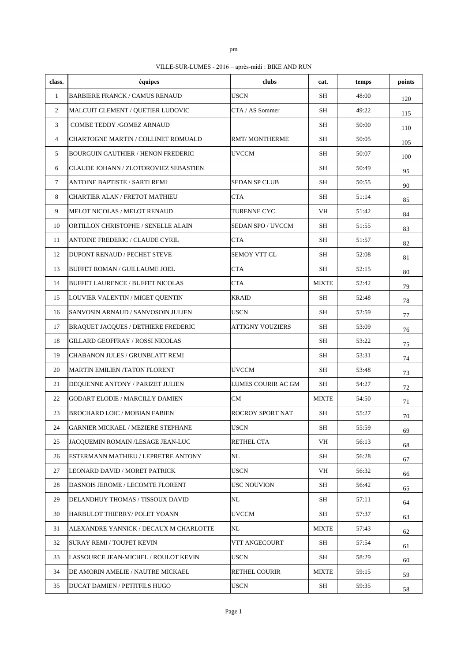|   | ٠ |  |
|---|---|--|
| ٦ |   |  |
| ۹ |   |  |

VILLE-SUR-LUMES - 2016 – après-midi : BIKE AND RUN

| class.         | équipes                                      | clubs              | cat.         | temps | points |
|----------------|----------------------------------------------|--------------------|--------------|-------|--------|
| $\mathbf{1}$   | <b>BARBIERE FRANCK / CAMUS RENAUD</b>        | <b>USCN</b>        | SH           | 48:00 | 120    |
| $\overline{c}$ | MALCUIT CLEMENT / QUETIER LUDOVIC            | CTA / AS Sommer    | <b>SH</b>    | 49:22 | 115    |
| 3              | COMBE TEDDY /GOMEZ ARNAUD                    |                    | SН           | 50:00 | 110    |
| $\overline{4}$ | <b>CHARTOGNE MARTIN / COLLINET ROMUALD</b>   | RMT/ MONTHERME     | SН           | 50:05 | 105    |
| 5              | <b>BOURGUIN GAUTHIER / HENON FREDERIC</b>    | UVCCM              | SH           | 50:07 | 100    |
| 6              | <b>CLAUDE JOHANN / ZLOTOROVIEZ SEBASTIEN</b> |                    | SH           | 50:49 | 95     |
| $\tau$         | ANTOINE BAPTISTE / SARTI REMI                | SEDAN SP CLUB      | SH           | 50:55 | 90     |
| 8              | <b>CHARTIER ALAN / FRETOT MATHIEU</b>        | <b>CTA</b>         | SH           | 51:14 | 85     |
| 9              | MELOT NICOLAS / MELOT RENAUD                 | TURENNE CYC.       | VH           | 51:42 | 84     |
| 10             | ORTILLON CHRISTOPHE / SENELLE ALAIN          | SEDAN SPO / UVCCM  | <b>SH</b>    | 51:55 | 83     |
| 11             | ANTOINE FREDERIC / CLAUDE CYRIL              | <b>CTA</b>         | SH           | 51:57 | 82     |
| 12             | <b>DUPONT RENAUD / PECHET STEVE</b>          | SEMOY VTT CL       | SН           | 52:08 | 81     |
| 13             | <b>BUFFET ROMAN / GUILLAUME JOEL</b>         | <b>CTA</b>         | SH           | 52:15 | 80     |
| 14             | <b>BUFFET LAURENCE / BUFFET NICOLAS</b>      | <b>CTA</b>         | <b>MIXTE</b> | 52:42 | 79     |
| 15             | LOUVIER VALENTIN / MIGET QUENTIN             | KRAID              | SН           | 52:48 | 78     |
| 16             | SANVOSIN ARNAUD / SANVOSOIN JULIEN           | USCN               | SH           | 52:59 | 77     |
| 17             | <b>BRAQUET JACQUES / DETHIERE FREDERIC</b>   | ATTIGNY VOUZIERS   | SН           | 53:09 | 76     |
| 18             | <b>GILLARD GEOFFRAY / ROSSI NICOLAS</b>      |                    | SН           | 53:22 | 75     |
| 19             | <b>CHABANON JULES / GRUNBLATT REMI</b>       |                    | SН           | 53:31 | 74     |
| 20             | <b>MARTIN EMILIEN/TATON FLORENT</b>          | UVCCM              | SН           | 53:48 | 73     |
| 21             | DEQUENNE ANTONY / PARIZET JULIEN             | LUMES COURIR AC GM | SH           | 54:27 | 72     |
| 22             | <b>GODART ELODIE / MARCILLY DAMIEN</b>       | CM                 | <b>MIXTE</b> | 54:50 | 71     |
| 23             | <b>BROCHARD LOIC / MOBIAN FABIEN</b>         | ROCROY SPORT NAT   | SH           | 55:27 | 70     |
| 24             | GARNIER MICKAEL / MEZIERE STEPHANE           | <b>USCN</b>        | SH           | 55:59 | 69     |
| 25             | JACQUEMIN ROMAIN /LESAGE JEAN-LUC            | RETHEL CTA         | VH           | 56:13 | 68     |
| 26             | ESTERMANN MATHIEU / LEPRETRE ANTONY          | NL                 | SH           | 56:28 | 67     |
| 27             | LEONARD DAVID / MORET PATRICK                | <b>USCN</b>        | VH           | 56:32 | 66     |
| 28             | DASNOIS JEROME / LECOMTE FLORENT             | USC NOUVION        | SН           | 56:42 | 65     |
| 29             | DELANDHUY THOMAS / TISSOUX DAVID             | NL                 | SH           | 57:11 | 64     |
| 30             | HARBULOT THIERRY/ POLET YOANN                | <b>UVCCM</b>       | SH           | 57:37 | 63     |
| 31             | ALEXANDRE YANNICK / DECAUX M CHARLOTTE       | NL                 | <b>MIXTE</b> | 57:43 | 62     |
| 32             | <b>SURAY REMI / TOUPET KEVIN</b>             | VTT ANGECOURT      | SH           | 57:54 | 61     |
| 33             | LASSOURCE JEAN-MICHEL / ROULOT KEVIN         | USCN               | SH           | 58:29 | 60     |
| 34             | DE AMORIN AMELIE / NAUTRE MICKAEL            | RETHEL COURIR      | <b>MIXTE</b> | 59:15 | 59     |
| 35             | DUCAT DAMIEN / PETITFILS HUGO                | <b>USCN</b>        | SH           | 59:35 | 58     |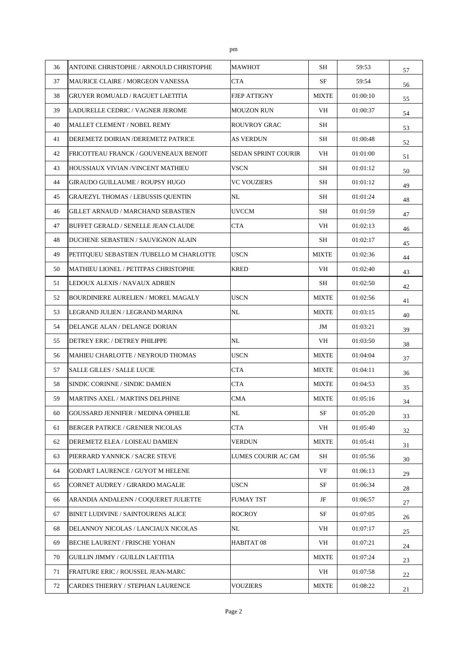| 36 | ANTOINE CHRISTOPHE / ARNOULD CHRISTOPHE    | MAWHOT                     | SН                     | 59:53    | 57 |
|----|--------------------------------------------|----------------------------|------------------------|----------|----|
| 37 | <b>MAURICE CLAIRE / MORGEON VANESSA</b>    | <b>CTA</b>                 | <b>SF</b>              | 59:54    | 56 |
| 38 | GRUYER ROMUALD / RAGUET LAETITIA           | FJEP ATTIGNY               | <b>MIXTE</b>           | 01:00:10 | 55 |
| 39 | LADURELLE CEDRIC / VAGNER JEROME           | MOUZON RUN                 | VH                     | 01:00:37 | 54 |
| 40 | <b>MALLET CLEMENT / NOBEL REMY</b>         | ROUVROY GRAC               | SH                     |          | 53 |
| 41 | DEREMETZ DOIRIAN /DEREMETZ PATRICE         | AS VERDUN                  | SH                     | 01:00:48 | 52 |
| 42 | FRICOTTEAU FRANCK / GOUVENEAUX BENOIT      | <b>SEDAN SPRINT COURIR</b> | VH                     | 01:01:00 | 51 |
| 43 | HOUSSIAUX VIVIAN /VINCENT MATHIEU          | VSCN                       | SН                     | 01:01:12 | 50 |
| 44 | <b>GIRAUDO GUILLAUME / ROUPSY HUGO</b>     | VC VOUZIERS                | SН                     | 01:01:12 | 49 |
| 45 | <b>GRAJEZYL THOMAS / LEBUSSIS QUENTIN</b>  | NL                         | SH                     | 01:01:24 | 48 |
| 46 | <b>GILLET ARNAUD / MARCHAND SEBASTIEN</b>  | <b>UVCCM</b>               | SH                     | 01:01:59 | 47 |
| 47 | BUFFET GERALD / SENELLE JEAN CLAUDE        | <b>CTA</b>                 | VH                     | 01:02:13 | 46 |
| 48 | DUCHENE SEBASTIEN / SAUVIGNON ALAIN        |                            | SH                     | 01:02:17 | 45 |
| 49 | PETITQUEU SEBASTIEN /TUBELLO M CHARLOTTE   | <b>USCN</b>                | $\operatorname{MIXTE}$ | 01:02:36 | 44 |
| 50 | MATHIEU LIONEL / PETITPAS CHRISTOPHE       | KRED                       | VH                     | 01:02:40 | 43 |
| 51 | LEDOUX ALEXIS / NAVAUX ADRIEN              |                            | SH                     | 01:02:50 | 42 |
| 52 | <b>BOURDINIERE AURELIEN / MOREL MAGALY</b> | USCN                       | <b>MIXTE</b>           | 01:02:56 | 41 |
| 53 | LEGRAND JULIEN / LEGRAND MARINA            | NL                         | <b>MIXTE</b>           | 01:03:15 | 40 |
| 54 | DELANGE ALAN / DELANGE DORIAN              |                            | JM                     | 01:03:21 | 39 |
| 55 | DETREY ERIC / DETREY PHILIPPE              | NL                         | VH                     | 01:03:50 | 38 |
| 56 | MAHIEU CHARLOTTE / NEYROUD THOMAS          | USCN                       | <b>MIXTE</b>           | 01:04:04 | 37 |
| 57 | <b>SALLE GILLES / SALLE LUCIE</b>          | <b>CTA</b>                 | <b>MIXTE</b>           | 01:04:11 | 36 |
| 58 | SINDIC CORINNE / SINDIC DAMIEN             | <b>CTA</b>                 | <b>MIXTE</b>           | 01:04:53 | 35 |
| 59 | <b>MARTINS AXEL / MARTINS DELPHINE</b>     | CMA                        | <b>MIXTE</b>           | 01:05:16 | 34 |
| 60 | <b>GOUSSARD JENNIFER / MEDINA OPHELIE</b>  | NL                         | SF                     | 01:05:20 | 33 |
| 61 | <b>BERGER PATRICE / GRENIER NICOLAS</b>    | <b>CTA</b>                 | VH                     | 01:05:40 | 32 |
| 62 | DEREMETZ ELEA / LOISEAU DAMIEN             | VERDUN                     | <b>MIXTE</b>           | 01:05:41 | 31 |
| 63 | PIERRARD YANNICK / SACRE STEVE             | LUMES COURIR AC GM         | SH                     | 01:05:56 | 30 |
| 64 | <b>GODART LAURENCE / GUYOT M HELENE</b>    |                            | VF                     | 01:06:13 | 29 |
| 65 | CORNET AUDREY / GIRARDO MAGALIE            | <b>USCN</b>                | SF                     | 01:06:34 | 28 |
| 66 | ARANDIA ANDALENN / COQUERET JULIETTE       | FUMAY TST                  | JF                     | 01:06:57 | 27 |
| 67 | BINET LUDIVINE / SAINTOURENS ALICE         | ROCROY                     | SF                     | 01:07:05 | 26 |
| 68 | DELANNOY NICOLAS / LANCIAUX NICOLAS        | NL                         | VH                     | 01:07:17 | 25 |
| 69 | BECHE LAURENT / FRISCHE YOHAN              | HABITAT 08                 | VH                     | 01:07:21 | 24 |
| 70 | GUILLIN JIMMY / GUILLIN LAETITIA           |                            | <b>MIXTE</b>           | 01:07:24 | 23 |
| 71 | FRAITURE ERIC / ROUSSEL JEAN-MARC          |                            | VH                     | 01:07:58 | 22 |
| 72 | CARDES THIERRY / STEPHAN LAURENCE          | VOUZIERS                   | <b>MIXTE</b>           | 01:08:22 | 21 |